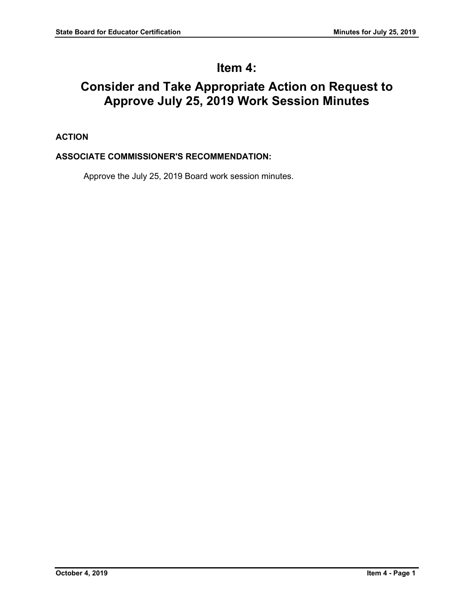# **Item 4:**

# **Consider and Take Appropriate Action on Request to Approve July 25, 2019 Work Session Minutes**

# **ACTION**

## **ASSOCIATE COMMISSIONER'S RECOMMENDATION:**

Approve the July 25, 2019 Board work session minutes.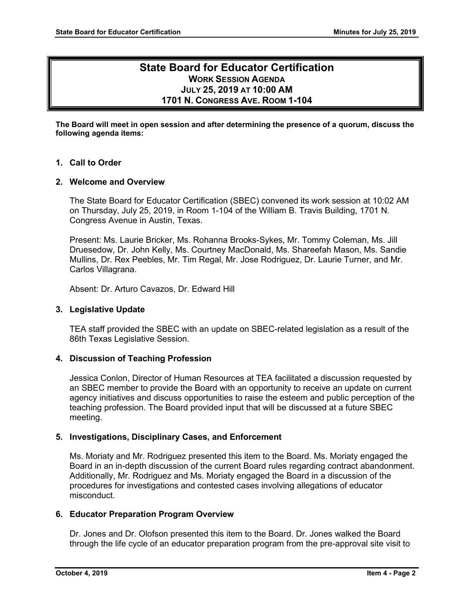## **State Board for Educator Certification WORK SESSION AGENDA JULY 25, 2019 AT 10:00 AM 1701 N. CONGRESS AVE. ROOM 1-104**

**The Board will meet in open session and after determining the presence of a quorum, discuss the following agenda items:**

#### **1. Call to Order**

#### **2. Welcome and Overview**

The State Board for Educator Certification (SBEC) convened its work session at 10:02 AM on Thursday, July 25, 2019, in Room 1-104 of the William B. Travis Building, 1701 N. Congress Avenue in Austin, Texas.

Present: Ms. Laurie Bricker, Ms. Rohanna Brooks-Sykes, Mr. Tommy Coleman, Ms. Jill Druesedow, Dr. John Kelly, Ms. Courtney MacDonald, Ms. Shareefah Mason, Ms. Sandie Mullins, Dr. Rex Peebles, Mr. Tim Regal, Mr. Jose Rodriguez, Dr. Laurie Turner, and Mr. Carlos Villagrana.

Absent: Dr. Arturo Cavazos, Dr. Edward Hill

#### **3. Legislative Update**

TEA staff provided the SBEC with an update on SBEC-related legislation as a result of the 86th Texas Legislative Session.

#### **4. Discussion of Teaching Profession**

Jessica Conlon, Director of Human Resources at TEA facilitated a discussion requested by an SBEC member to provide the Board with an opportunity to receive an update on current agency initiatives and discuss opportunities to raise the esteem and public perception of the teaching profession. The Board provided input that will be discussed at a future SBEC meeting.

#### **5. Investigations, Disciplinary Cases, and Enforcement**

Ms. Moriaty and Mr. Rodriguez presented this item to the Board. Ms. Moriaty engaged the Board in an in-depth discussion of the current Board rules regarding contract abandonment. Additionally, Mr. Rodriguez and Ms. Moriaty engaged the Board in a discussion of the procedures for investigations and contested cases involving allegations of educator misconduct.

#### **6. Educator Preparation Program Overview**

Dr. Jones and Dr. Olofson presented this item to the Board. Dr. Jones walked the Board through the life cycle of an educator preparation program from the pre-approval site visit to